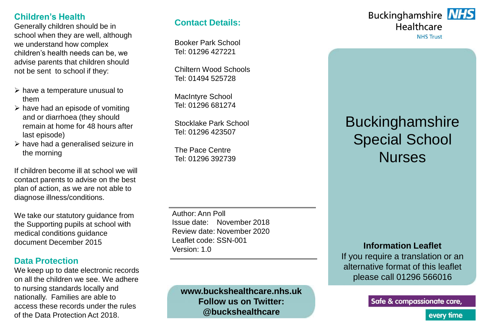### **Children's Health**

Generally children should be in school when they are well, although we understand how complex children's health needs can be, we advise parents that children should not be sent to school if they:

- $\triangleright$  have a temperature unusual to them
- $\triangleright$  have had an episode of vomiting and or diarrhoea (they should remain at home for 48 hours after last episode)
- $\triangleright$  have had a generalised seizure in the morning

If children become ill at school we will contact parents to advise on the best plan of action, as we are not able to diagnose illness/conditions.

We take our statutory guidance from the Supporting pupils at school with medical conditions guidance document December 2015

### **Data Protection**

We keep up to date electronic records on all the children we see. We adhere to nursing standards locally and nationally. Families are able to access these records under the rules of the Data Protection Act 2018.

### **Contact Details:**

Booker Park School Tel: 01296 427221

Chiltern Wood Schools Tel: 01494 525728

MacIntyre School Tel: 01296 681274

Stocklake Park School Tel: 01296 423507

The Pace Centre Tel: 01296 392739

Author: Ann Poll Issue date: November 2018 Review date: November 2020 Leaflet code: SSN-001 Version: 1.0

**www.buckshealthcare.nhs.uk Follow us on Twitter: @buckshealthcare**

# **Buckinghamshire NHS** Healthcare

**NHS Trust** 

# Buckinghamshire Special School Nurses

#### **Information Leaflet**

If you require a translation or an alternative format of this leaflet please call 01296 566016

Safe & compassionate care,